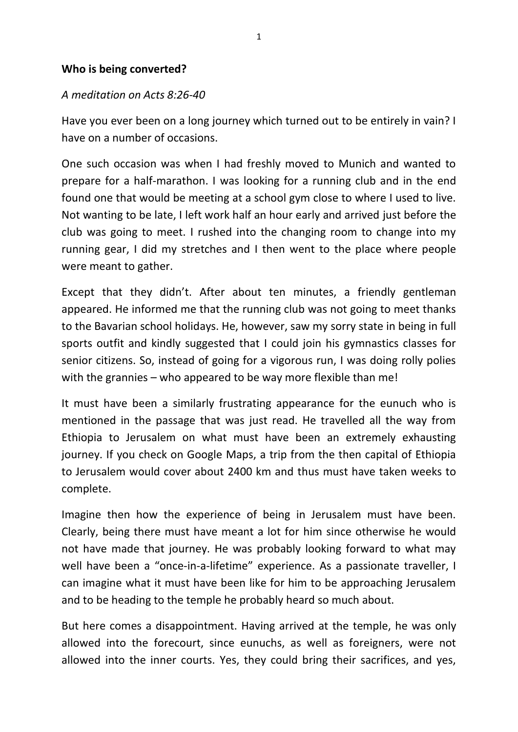## **Who is being converted?**

## *A meditation on Acts 8:26-40*

Have you ever been on a long journey which turned out to be entirely in vain? I have on a number of occasions.

One such occasion was when I had freshly moved to Munich and wanted to prepare for a half-marathon. I was looking for a running club and in the end found one that would be meeting at a school gym close to where I used to live. Not wanting to be late, I left work half an hour early and arrived just before the club was going to meet. I rushed into the changing room to change into my running gear, I did my stretches and I then went to the place where people were meant to gather.

Except that they didn't. After about ten minutes, a friendly gentleman appeared. He informed me that the running club was not going to meet thanks to the Bavarian school holidays. He, however, saw my sorry state in being in full sports outfit and kindly suggested that I could join his gymnastics classes for senior citizens. So, instead of going for a vigorous run, I was doing rolly polies with the grannies – who appeared to be way more flexible than me!

It must have been a similarly frustrating appearance for the eunuch who is mentioned in the passage that was just read. He travelled all the way from Ethiopia to Jerusalem on what must have been an extremely exhausting journey. If you check on Google Maps, a trip from the then capital of Ethiopia to Jerusalem would cover about 2400 km and thus must have taken weeks to complete.

Imagine then how the experience of being in Jerusalem must have been. Clearly, being there must have meant a lot for him since otherwise he would not have made that journey. He was probably looking forward to what may well have been a "once-in-a-lifetime" experience. As a passionate traveller, I can imagine what it must have been like for him to be approaching Jerusalem and to be heading to the temple he probably heard so much about.

But here comes a disappointment. Having arrived at the temple, he was only allowed into the forecourt, since eunuchs, as well as foreigners, were not allowed into the inner courts. Yes, they could bring their sacrifices, and yes,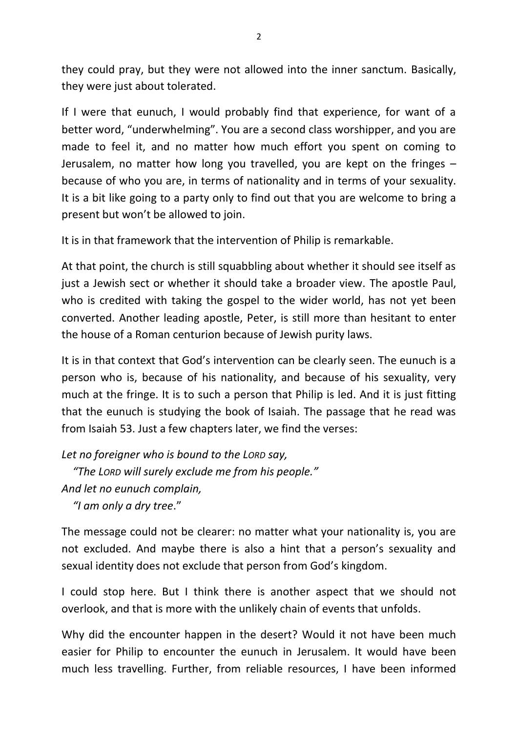they could pray, but they were not allowed into the inner sanctum. Basically, they were just about tolerated.

If I were that eunuch, I would probably find that experience, for want of a better word, "underwhelming". You are a second class worshipper, and you are made to feel it, and no matter how much effort you spent on coming to Jerusalem, no matter how long you travelled, you are kept on the fringes – because of who you are, in terms of nationality and in terms of your sexuality. It is a bit like going to a party only to find out that you are welcome to bring a present but won't be allowed to join.

It is in that framework that the intervention of Philip is remarkable.

At that point, the church is still squabbling about whether it should see itself as just a Jewish sect or whether it should take a broader view. The apostle Paul, who is credited with taking the gospel to the wider world, has not yet been converted. Another leading apostle, Peter, is still more than hesitant to enter the house of a Roman centurion because of Jewish purity laws.

It is in that context that God's intervention can be clearly seen. The eunuch is a person who is, because of his nationality, and because of his sexuality, very much at the fringe. It is to such a person that Philip is led. And it is just fitting that the eunuch is studying the book of Isaiah. The passage that he read was from Isaiah 53. Just a few chapters later, we find the verses:

*Let no foreigner who is bound to the LORD say,*

 *"The LORD will surely exclude me from his people."*

```
And let no eunuch complain,
```
 *"I am only a dry tree*."

The message could not be clearer: no matter what your nationality is, you are not excluded. And maybe there is also a hint that a person's sexuality and sexual identity does not exclude that person from God's kingdom.

I could stop here. But I think there is another aspect that we should not overlook, and that is more with the unlikely chain of events that unfolds.

Why did the encounter happen in the desert? Would it not have been much easier for Philip to encounter the eunuch in Jerusalem. It would have been much less travelling. Further, from reliable resources, I have been informed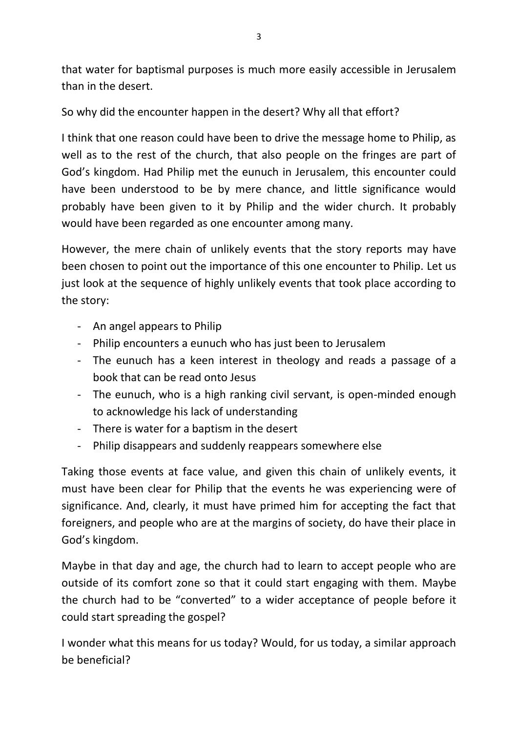that water for baptismal purposes is much more easily accessible in Jerusalem than in the desert.

So why did the encounter happen in the desert? Why all that effort?

I think that one reason could have been to drive the message home to Philip, as well as to the rest of the church, that also people on the fringes are part of God's kingdom. Had Philip met the eunuch in Jerusalem, this encounter could have been understood to be by mere chance, and little significance would probably have been given to it by Philip and the wider church. It probably would have been regarded as one encounter among many.

However, the mere chain of unlikely events that the story reports may have been chosen to point out the importance of this one encounter to Philip. Let us just look at the sequence of highly unlikely events that took place according to the story:

- An angel appears to Philip
- Philip encounters a eunuch who has just been to Jerusalem
- The eunuch has a keen interest in theology and reads a passage of a book that can be read onto Jesus
- The eunuch, who is a high ranking civil servant, is open-minded enough to acknowledge his lack of understanding
- There is water for a baptism in the desert
- Philip disappears and suddenly reappears somewhere else

Taking those events at face value, and given this chain of unlikely events, it must have been clear for Philip that the events he was experiencing were of significance. And, clearly, it must have primed him for accepting the fact that foreigners, and people who are at the margins of society, do have their place in God's kingdom.

Maybe in that day and age, the church had to learn to accept people who are outside of its comfort zone so that it could start engaging with them. Maybe the church had to be "converted" to a wider acceptance of people before it could start spreading the gospel?

I wonder what this means for us today? Would, for us today, a similar approach be beneficial?